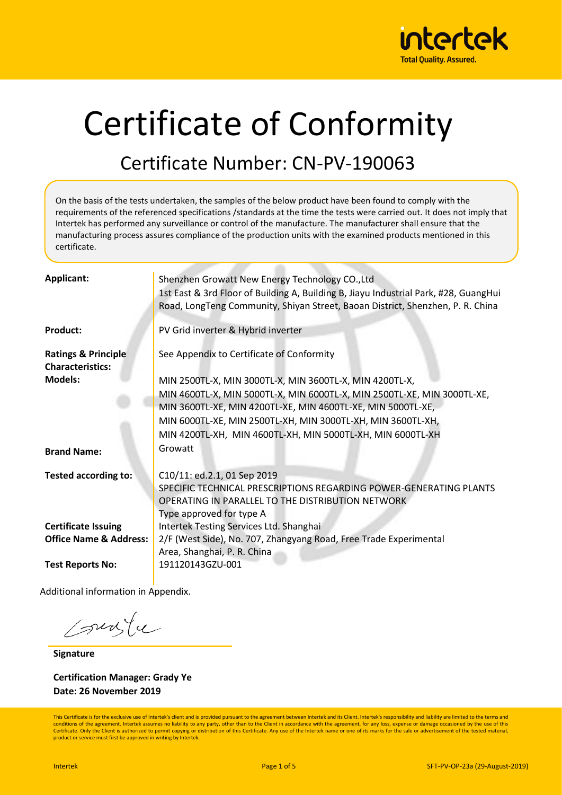

# Certificate of Conformity

#### Certificate Number: CN-PV-190063

On the basis of the tests undertaken, the samples of the below product have been found to comply with the requirements of the referenced specifications /standards at the time the tests were carried out. It does not imply that Intertek has performed any surveillance or control of the manufacture. The manufacturer shall ensure that the manufacturing process assures compliance of the production units with the examined products mentioned in this certificate.

| <b>Applicant:</b>                                         | Shenzhen Growatt New Energy Technology CO., Ltd<br>1st East & 3rd Floor of Building A, Building B, Jiayu Industrial Park, #28, GuangHui<br>Road, LongTeng Community, Shiyan Street, Baoan District, Shenzhen, P. R. China |
|-----------------------------------------------------------|---------------------------------------------------------------------------------------------------------------------------------------------------------------------------------------------------------------------------|
| <b>Product:</b>                                           | PV Grid inverter & Hybrid inverter                                                                                                                                                                                        |
| <b>Ratings &amp; Principle</b><br><b>Characteristics:</b> | See Appendix to Certificate of Conformity                                                                                                                                                                                 |
| <b>Models:</b>                                            | MIN 2500TL-X, MIN 3000TL-X, MIN 3600TL-X, MIN 4200TL-X,                                                                                                                                                                   |
|                                                           | MIN 4600TL-X, MIN 5000TL-X, MIN 6000TL-X, MIN 2500TL-XE, MIN 3000TL-XE,<br>MIN 3600TL-XE, MIN 4200TL-XE, MIN 4600TL-XE, MIN 5000TL-XE,                                                                                    |
|                                                           | MIN 6000TL-XE, MIN 2500TL-XH, MIN 3000TL-XH, MIN 3600TL-XH,                                                                                                                                                               |
|                                                           | MIN 4200TL-XH, MIN 4600TL-XH, MIN 5000TL-XH, MIN 6000TL-XH                                                                                                                                                                |
| <b>Brand Name:</b>                                        | Growatt                                                                                                                                                                                                                   |
| <b>Tested according to:</b>                               | C10/11: ed.2.1, 01 Sep 2019<br>SPECIFIC TECHNICAL PRESCRIPTIONS REGARDING POWER-GENERATING PLANTS<br>OPERATING IN PARALLEL TO THE DISTRIBUTION NETWORK<br>Type approved for type A                                        |
| <b>Certificate Issuing</b>                                | Intertek Testing Services Ltd. Shanghai                                                                                                                                                                                   |
| <b>Office Name &amp; Address:</b>                         | 2/F (West Side), No. 707, Zhangyang Road, Free Trade Experimental<br>Area, Shanghai, P. R. China                                                                                                                          |
| <b>Test Reports No:</b>                                   | 191120143GZU-001                                                                                                                                                                                                          |

Additional information in Appendix.

sunte

**Signature**

**Certification Manager: Grady Ye Date: 26 November 2019**

This Certificate is for the exclusive use of Intertek's client and is provided pursuant to the agreement between Intertek and its Client. Intertek's responsibility and liability are limited to the terms and conditions of the agreement. Intertek assumes no liability to any party, other than to the Client in accordance with the agreement, for any loss, expense or damage occasioned by the use of this Certificate. Only the Client is authorized to permit copying or distribution of this Certificate. Any use of the Intertek name or one of its marks for the sale or advertisement of the tested material product or service must first be approved in writing by Intertek.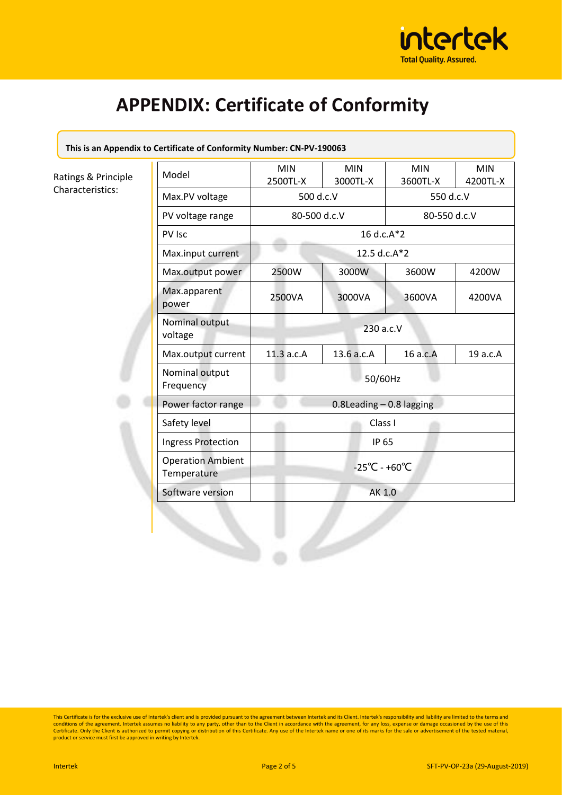

**This is an Appendix to Certificate of Conformity Number: CN-PV-190063**

Ratings & Principle Characteristics:

| Model                                   | <b>MIN</b><br>2500TL-X             | <b>MIN</b><br>3000TL-X | <b>MIN</b><br>3600TL-X | <b>MIN</b><br>4200TL-X |  |
|-----------------------------------------|------------------------------------|------------------------|------------------------|------------------------|--|
| Max.PV voltage                          | 500 d.c.V                          |                        | 550 d.c.V              |                        |  |
| PV voltage range                        | 80-500 d.c.V<br>16 d.c.A*2         |                        | 80-550 d.c.V           |                        |  |
| PV Isc                                  |                                    |                        |                        |                        |  |
| Max.input current                       | 12.5 d.c.A*2                       |                        |                        |                        |  |
| Max.output power                        | 2500W                              | 3000W                  | 3600W                  | 4200W                  |  |
| Max.apparent<br>power                   | 2500VA                             | 3000VA                 | 3600VA                 | 4200VA                 |  |
| Nominal output<br>voltage               | 230 a.c.V                          |                        |                        |                        |  |
| Max.output current                      | 11.3a.c.A                          | 13.6 a.c.A             | 16 a.c.A               | 19 a.c.A               |  |
| Nominal output<br>Frequency             | 50/60Hz                            |                        |                        |                        |  |
| Power factor range                      | $0.8$ Leading $-0.8$ lagging       |                        |                        |                        |  |
| Safety level                            |                                    |                        | Class I<br>IP 65       |                        |  |
| <b>Ingress Protection</b>               |                                    |                        |                        |                        |  |
| <b>Operation Ambient</b><br>Temperature | $-25^{\circ}$ C - +60 $^{\circ}$ C |                        |                        |                        |  |
| Software version                        | AK 1.0                             |                        |                        |                        |  |
|                                         |                                    |                        |                        |                        |  |

This Certificate is for the exclusive use of Intertek's client and is provided pursuant to the agreement between Intertek and its Client. Intertek's responsibility and liability are limited to the terms and<br>conditions of t Certificate. Only the Client is authorized to permit copying or distribution of this Certificate. Any use of the Intertek name or one of its marks for the sale or advertisement of the tested material, product or service must first be approved in writing by Intertek.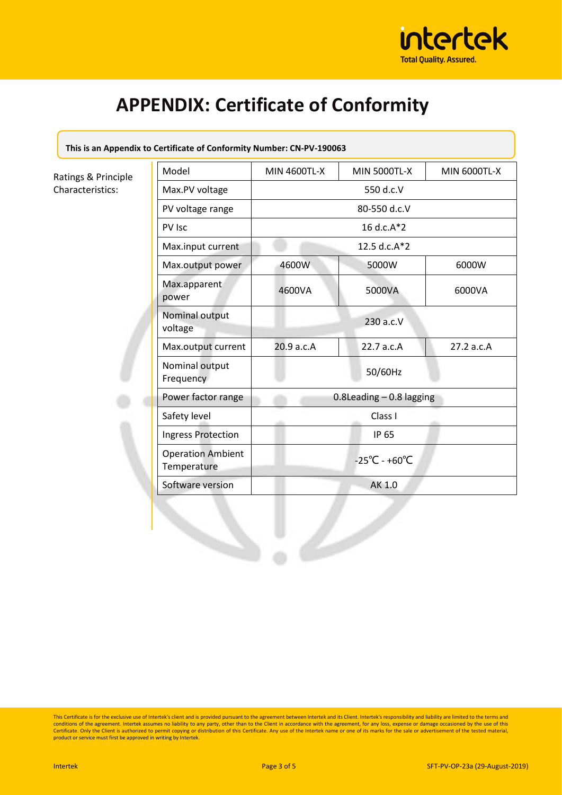

**This is an Appendix to Certificate of Conformity Number: CN-PV-190063**

Ratings & Principle Characteristics:

| Model                                   | <b>MIN 4600TL-X</b>          | <b>MIN 5000TL-X</b>                | <b>MIN 6000TL-X</b> |  |
|-----------------------------------------|------------------------------|------------------------------------|---------------------|--|
| Max.PV voltage                          |                              |                                    |                     |  |
| PV voltage range                        |                              |                                    |                     |  |
| PV Isc                                  | 16 d.c.A*2                   |                                    |                     |  |
| Max.input current                       | 12.5 d.c.A*2                 |                                    |                     |  |
| Max.output power                        | 4600W                        | 5000W                              | 6000W               |  |
| Max.apparent<br>power                   | 4600VA                       | 5000VA                             | 6000VA              |  |
| Nominal output<br>voltage               |                              |                                    |                     |  |
| Max.output current                      | 20.9 a.c.A                   | 22.7 a.c.A                         | 27.2 a.c.A          |  |
| Nominal output<br>Frequency             |                              |                                    |                     |  |
| Power factor range                      | $0.8$ Leading $-0.8$ lagging |                                    |                     |  |
| Safety level                            |                              | Class I                            |                     |  |
| <b>Ingress Protection</b>               |                              | IP 65                              |                     |  |
| <b>Operation Ambient</b><br>Temperature |                              | $-25^{\circ}$ C - +60 $^{\circ}$ C |                     |  |
| Software version                        | AK 1.0                       |                                    |                     |  |
|                                         |                              |                                    |                     |  |

This Certificate is for the exclusive use of Intertek's client and is provided pursuant to the agreement between Intertek and its Client. Intertek's responsibility and liability are limited to the terms and<br>conditions of t Certificate. Only the Client is authorized to permit copying or distribution of this Certificate. Any use of the Intertek name or one of its marks for the sale or advertisement of the tested material, product or service must first be approved in writing by Intertek.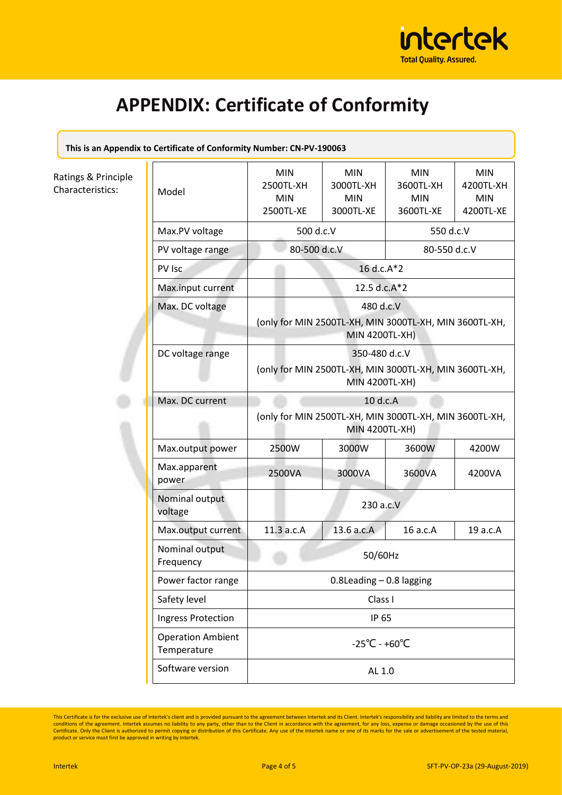

| This is an Appendix to Certificate of Conformity Number: CN-PV-190063 |  |
|-----------------------------------------------------------------------|--|
|                                                                       |  |

#### Ratings & Principle Characteristics:

| Model                                   | <b>MIN</b><br>2500TL-XH<br><b>MIN</b><br>2500TL-XE                                               | <b>MIN</b><br>3000TL-XH<br><b>MIN</b><br>3000TL-XE | <b>MIN</b><br>3600TL-XH<br><b>MIN</b><br>3600TL-XE | <b>MIN</b><br>4200TL-XH<br><b>MIN</b><br>4200TL-XE |  |  |
|-----------------------------------------|--------------------------------------------------------------------------------------------------|----------------------------------------------------|----------------------------------------------------|----------------------------------------------------|--|--|
| Max.PV voltage                          | 500 d.c.V                                                                                        |                                                    | 550 d.c.V                                          |                                                    |  |  |
| PV voltage range                        |                                                                                                  | 80-500 d.c.V                                       |                                                    | 80-550 d.c.V                                       |  |  |
| PV Isc                                  |                                                                                                  | 16 d.c.A*2                                         |                                                    |                                                    |  |  |
| Max.input current                       |                                                                                                  | 12.5 d.c.A*2                                       |                                                    |                                                    |  |  |
| Max. DC voltage                         | 480 d.c.V<br>(only for MIN 2500TL-XH, MIN 3000TL-XH, MIN 3600TL-XH,<br><b>MIN 4200TL-XH)</b>     |                                                    |                                                    |                                                    |  |  |
| DC voltage range                        | 350-480 d.c.V<br>(only for MIN 2500TL-XH, MIN 3000TL-XH, MIN 3600TL-XH,<br><b>MIN 4200TL-XH)</b> |                                                    |                                                    |                                                    |  |  |
| Max. DC current                         | 10 d.c.A                                                                                         |                                                    |                                                    |                                                    |  |  |
|                                         | (only for MIN 2500TL-XH, MIN 3000TL-XH, MIN 3600TL-XH,<br><b>MIN 4200TL-XH)</b>                  |                                                    |                                                    |                                                    |  |  |
| Max.output power                        | 2500W                                                                                            | 3000W                                              | 3600W                                              | 4200W                                              |  |  |
| Max.apparent<br>power                   | 2500VA                                                                                           | 3000VA                                             | 3600VA                                             | 4200VA                                             |  |  |
| Nominal output<br>voltage               | 230 a.c.V                                                                                        |                                                    |                                                    |                                                    |  |  |
| Max.output current                      | 11.3 a.c.A                                                                                       | 13.6 a.c.A                                         | 16 a.c.A                                           | 19 a.c.A                                           |  |  |
| Nominal output<br>Frequency             |                                                                                                  | 50/60Hz                                            |                                                    |                                                    |  |  |
| Power factor range                      | $0.8$ Leading $-0.8$ lagging<br>Class I<br>IP 65                                                 |                                                    |                                                    |                                                    |  |  |
| Safety level                            |                                                                                                  |                                                    |                                                    |                                                    |  |  |
| <b>Ingress Protection</b>               |                                                                                                  |                                                    |                                                    |                                                    |  |  |
| <b>Operation Ambient</b><br>Temperature | $-25^{\circ}$ C - +60 $^{\circ}$ C                                                               |                                                    |                                                    |                                                    |  |  |
| Software version                        | AL 1.0                                                                                           |                                                    |                                                    |                                                    |  |  |

This Certificate is for the exclusive use of Intertek's client and is provided pursuant to the agreement between Intertek and its Client. Intertek's responsibility and liability are limited to the terms and conditions of t